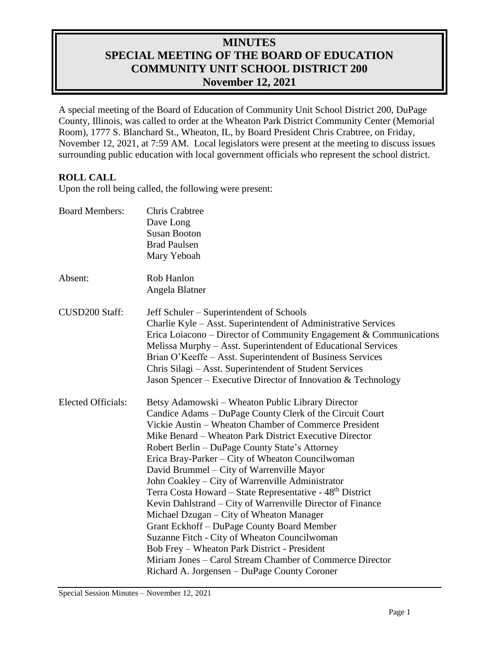# **MINUTES SPECIAL MEETING OF THE BOARD OF EDUCATION COMMUNITY UNIT SCHOOL DISTRICT 200 November 12, 2021**

A special meeting of the Board of Education of Community Unit School District 200, DuPage County, Illinois, was called to order at the Wheaton Park District Community Center (Memorial Room), 1777 S. Blanchard St., Wheaton, IL, by Board President Chris Crabtree, on Friday, November 12, 2021, at 7:59 AM. Local legislators were present at the meeting to discuss issues surrounding public education with local government officials who represent the school district.

# **ROLL CALL**

Upon the roll being called, the following were present:

| <b>Board Members:</b>     | <b>Chris Crabtree</b><br>Dave Long<br><b>Susan Booton</b><br><b>Brad Paulsen</b><br>Mary Yeboah                                                                                                                                                                                                                                                                                                                                                                                                                                                                                                                                                                                                                                                                                                                                                                                      |
|---------------------------|--------------------------------------------------------------------------------------------------------------------------------------------------------------------------------------------------------------------------------------------------------------------------------------------------------------------------------------------------------------------------------------------------------------------------------------------------------------------------------------------------------------------------------------------------------------------------------------------------------------------------------------------------------------------------------------------------------------------------------------------------------------------------------------------------------------------------------------------------------------------------------------|
| Absent:                   | Rob Hanlon<br>Angela Blatner                                                                                                                                                                                                                                                                                                                                                                                                                                                                                                                                                                                                                                                                                                                                                                                                                                                         |
| CUSD200 Staff:            | Jeff Schuler – Superintendent of Schools<br>Charlie Kyle – Asst. Superintendent of Administrative Services<br>Erica Loiacono - Director of Community Engagement & Communications<br>Melissa Murphy - Asst. Superintendent of Educational Services<br>Brian O'Keeffe - Asst. Superintendent of Business Services<br>Chris Silagi – Asst. Superintendent of Student Services<br>Jason Spencer – Executive Director of Innovation & Technology                                                                                                                                                                                                                                                                                                                                                                                                                                          |
| <b>Elected Officials:</b> | Betsy Adamowski – Wheaton Public Library Director<br>Candice Adams - DuPage County Clerk of the Circuit Court<br>Vickie Austin – Wheaton Chamber of Commerce President<br>Mike Benard – Wheaton Park District Executive Director<br>Robert Berlin – DuPage County State's Attorney<br>Erica Bray-Parker – City of Wheaton Councilwoman<br>David Brummel – City of Warrenville Mayor<br>John Coakley – City of Warrenville Administrator<br>Terra Costa Howard – State Representative - 48 <sup>th</sup> District<br>Kevin Dahlstrand – City of Warrenville Director of Finance<br>Michael Dzugan – City of Wheaton Manager<br>Grant Eckhoff - DuPage County Board Member<br>Suzanne Fitch - City of Wheaton Councilwoman<br>Bob Frey – Wheaton Park District - President<br>Miriam Jones – Carol Stream Chamber of Commerce Director<br>Richard A. Jorgensen - DuPage County Coroner |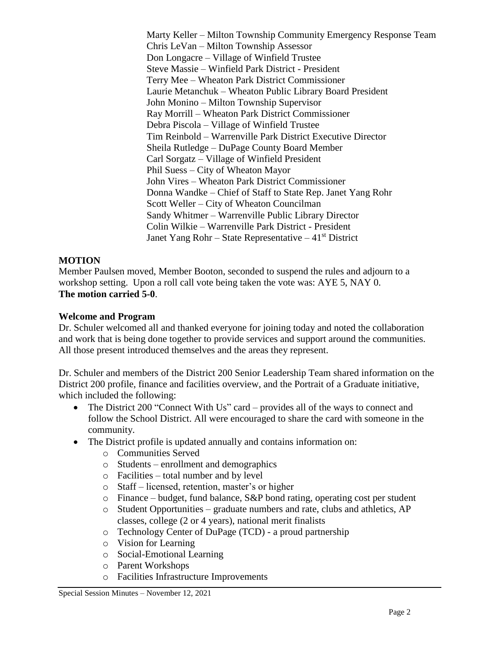Marty Keller – Milton Township Community Emergency Response Team Chris LeVan – Milton Township Assessor Don Longacre – Village of Winfield Trustee Steve Massie – Winfield Park District - President Terry Mee – Wheaton Park District Commissioner Laurie Metanchuk – Wheaton Public Library Board President John Monino – Milton Township Supervisor Ray Morrill – Wheaton Park District Commissioner Debra Piscola – Village of Winfield Trustee Tim Reinbold – Warrenville Park District Executive Director Sheila Rutledge – DuPage County Board Member Carl Sorgatz – Village of Winfield President Phil Suess – City of Wheaton Mayor John Vires – Wheaton Park District Commissioner Donna Wandke – Chief of Staff to State Rep. Janet Yang Rohr Scott Weller – City of Wheaton Councilman Sandy Whitmer – Warrenville Public Library Director Colin Wilkie – Warrenville Park District - President Janet Yang Rohr – State Representative –  $41<sup>st</sup>$  District

# **MOTION**

Member Paulsen moved, Member Booton, seconded to suspend the rules and adjourn to a workshop setting. Upon a roll call vote being taken the vote was: AYE 5, NAY 0. **The motion carried 5-0**.

### **Welcome and Program**

Dr. Schuler welcomed all and thanked everyone for joining today and noted the collaboration and work that is being done together to provide services and support around the communities. All those present introduced themselves and the areas they represent.

Dr. Schuler and members of the District 200 Senior Leadership Team shared information on the District 200 profile, finance and facilities overview, and the Portrait of a Graduate initiative, which included the following:

- The District 200 "Connect With Us" card provides all of the ways to connect and follow the School District. All were encouraged to share the card with someone in the community.
- The District profile is updated annually and contains information on:
	- o Communities Served
	- o Students enrollment and demographics
	- o Facilities total number and by level
	- o Staff licensed, retention, master's or higher
	- o Finance budget, fund balance, S&P bond rating, operating cost per student
	- o Student Opportunities graduate numbers and rate, clubs and athletics, AP classes, college (2 or 4 years), national merit finalists
	- o Technology Center of DuPage (TCD) a proud partnership
	- o Vision for Learning
	- o Social-Emotional Learning
	- o Parent Workshops
	- o Facilities Infrastructure Improvements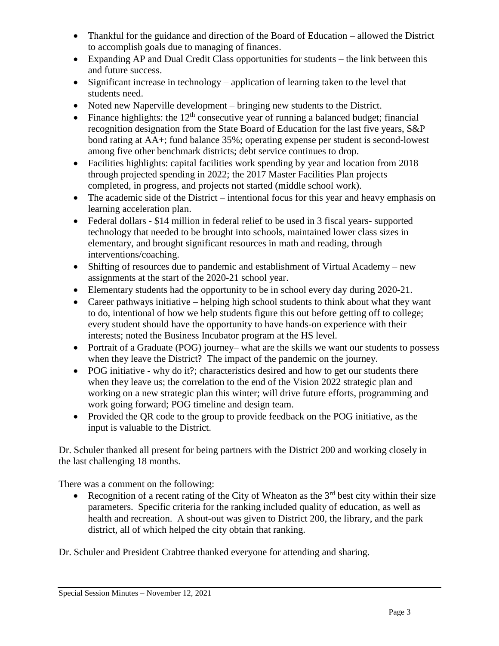- Thankful for the guidance and direction of the Board of Education allowed the District to accomplish goals due to managing of finances.
- Expanding AP and Dual Credit Class opportunities for students the link between this and future success.
- Significant increase in technology application of learning taken to the level that students need.
- Noted new Naperville development bringing new students to the District.
- Finance highlights: the  $12<sup>th</sup>$  consecutive year of running a balanced budget; financial recognition designation from the State Board of Education for the last five years, S&P bond rating at AA+; fund balance 35%; operating expense per student is second-lowest among five other benchmark districts; debt service continues to drop.
- Facilities highlights: capital facilities work spending by year and location from 2018 through projected spending in 2022; the 2017 Master Facilities Plan projects – completed, in progress, and projects not started (middle school work).
- The academic side of the District intentional focus for this year and heavy emphasis on learning acceleration plan.
- Federal dollars \$14 million in federal relief to be used in 3 fiscal years- supported technology that needed to be brought into schools, maintained lower class sizes in elementary, and brought significant resources in math and reading, through interventions/coaching.
- Shifting of resources due to pandemic and establishment of Virtual Academy new assignments at the start of the 2020-21 school year.
- Elementary students had the opportunity to be in school every day during 2020-21.
- Career pathways initiative helping high school students to think about what they want to do, intentional of how we help students figure this out before getting off to college; every student should have the opportunity to have hands-on experience with their interests; noted the Business Incubator program at the HS level.
- Portrait of a Graduate (POG) journey– what are the skills we want our students to possess when they leave the District? The impact of the pandemic on the journey.
- POG initiative why do it?; characteristics desired and how to get our students there when they leave us; the correlation to the end of the Vision 2022 strategic plan and working on a new strategic plan this winter; will drive future efforts, programming and work going forward; POG timeline and design team.
- Provided the QR code to the group to provide feedback on the POG initiative, as the input is valuable to the District.

Dr. Schuler thanked all present for being partners with the District 200 and working closely in the last challenging 18 months.

There was a comment on the following:

Recognition of a recent rating of the City of Wheaton as the  $3<sup>rd</sup>$  best city within their size parameters. Specific criteria for the ranking included quality of education, as well as health and recreation. A shout-out was given to District 200, the library, and the park district, all of which helped the city obtain that ranking.

Dr. Schuler and President Crabtree thanked everyone for attending and sharing.